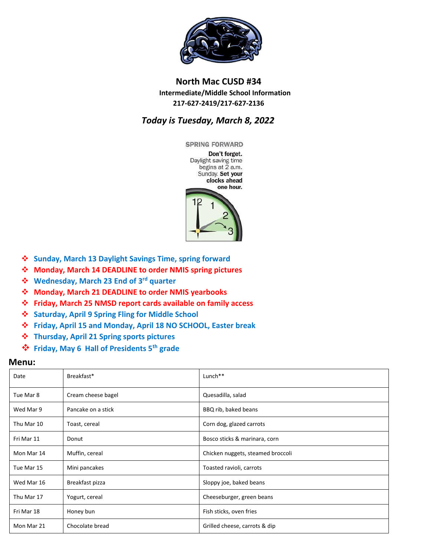

## **North Mac CUSD #34 Intermediate/Middle School Information 217-627-2419/217-627-2136**

## *Today is Tuesday, March 8, 2022*

**SPRING FORWARD** Don't forget. Daylight saving time begins at 2 a.m. Sunday. Set your clocks ahead one hour.



- **Sunday, March 13 Daylight Savings Time, spring forward**
- **Monday, March 14 DEADLINE to order NMIS spring pictures**
- **Wednesday, March 23 End of 3rd quarter**
- **Monday, March 21 DEADLINE to order NMIS yearbooks**
- **Friday, March 25 NMSD report cards available on family access**
- **Saturday, April 9 Spring Fling for Middle School**
- **Friday, April 15 and Monday, April 18 NO SCHOOL, Easter break**
- **Thursday, April 21 Spring sports pictures**
- **Friday, May 6 Hall of Presidents 5th grade**

## **Menu:**

| Date       | Breakfast*         | Lunch <sup>**</sup>               |
|------------|--------------------|-----------------------------------|
| Tue Mar 8  | Cream cheese bagel | Quesadilla, salad                 |
| Wed Mar 9  | Pancake on a stick | BBQ rib, baked beans              |
| Thu Mar 10 | Toast, cereal      | Corn dog, glazed carrots          |
| Fri Mar 11 | Donut              | Bosco sticks & marinara, corn     |
| Mon Mar 14 | Muffin, cereal     | Chicken nuggets, steamed broccoli |
| Tue Mar 15 | Mini pancakes      | Toasted ravioli, carrots          |
| Wed Mar 16 | Breakfast pizza    | Sloppy joe, baked beans           |
| Thu Mar 17 | Yogurt, cereal     | Cheeseburger, green beans         |
| Fri Mar 18 | Honey bun          | Fish sticks, oven fries           |
| Mon Mar 21 | Chocolate bread    | Grilled cheese, carrots & dip     |